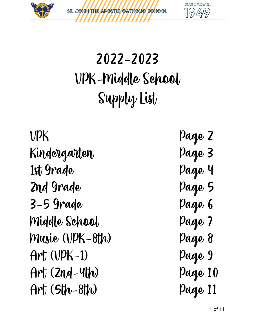



# 2022-2023 VPK-Middle School Supply List

VPK Page 2 Kindergarten Page 3 1st Grade Page 4 2nd Grade Page 5 3-5 Grade Page 6 Middle School Page 7 Music (VPK-8th) Page 8 Art (VPK-1) Page 9 Art (2nd-4th) Page 10 Art (5th-8th) Page 11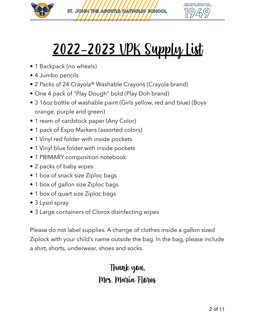



# 2022-2023 VPK Supply List

- 1 Backpack (no wheels)
- 4 Jumbo pencils
- 2 Packs of 24 Crayola® Washable Crayons (Crayola brand)
- One 4 pack of "Play Dough" bold (Play Doh brand)
- 3 16oz bottle of washable paint (Girls yellow, red and blue) (Boys orange, purple and green)
- 1 ream of cardstock paper (Any Color)
- 1 pack of Expo Markers (assorted colors)
- 1 Vinyl red folder with inside pockets
- 1 Vinyl blue folder with inside pockets
- 1 PRIMARY composition notebook
- 2 packs of baby wipes
- 1 box of snack size Ziploc bags
- 1 box of gallon size Ziploc bags
- 1 box of quart size Ziploc bags
- 3 Lysol spray
- 3 Large containers of Clorox disinfecting wipes

Please do not label supplies. A change of clothes inside a gallon sized Ziplock with your child's name outside the bag. In the bag, please include a shirt, shorts, underwear, shoes and socks.

#### Thank you, Mrs. Maria Flores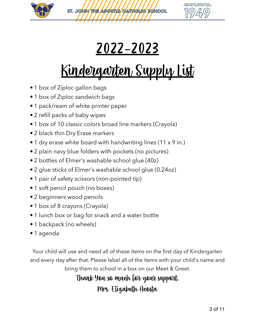



## 2022-2023

# Kindergarten Supply List

- 1 box of Ziploc gallon bags
- 1 box of Ziploc sandwich bags
- 1 pack/ream of white printer paper
- 2 refill packs of baby wipes
- 1 box of 10 classic colors broad line markers (Crayola)
- 2 black thin Dry Erase markers
- 1 dry erase white board with handwriting lines (11 x 9 in.)
- 2 plain navy blue folders with pockets (no pictures)
- 2 bottles of Elmer's washable school glue (40z)
- 2 glue sticks of Elmer's washable school glue (0.24oz)
- 1 pair of safety scissors (non-pointed tip)
- 1 soft pencil pouch (no boxes)
- 2 beginners wood pencils
- 1 box of 8 crayons (Crayola)
- 1 lunch box or bag for snack and a water bottle
- 1 backpack (no wheels)
- 1 agenda

Your child will use and need all of these items on the first day of Kindergarten and every day after that. Please label all of the items with your child's name and bring them to school in a box on our Meet & Greet.

Thank You so much for your support.

Mrs. Elizabeth Acosta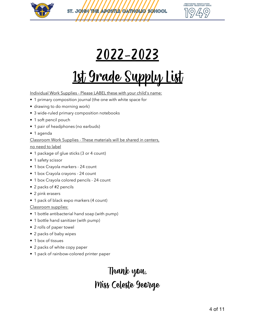

**PROVIDING INNOVATION<br>THROUGH TRADITION SINCE**  $\bigcap$ 

#### 2022-2023

# 1st Grade Supply List

Individual Work Supplies - Please LABEL these with your child's name:

- 1 primary composition journal (the one with white space for
- drawing to do morning work)
- 3 wide-ruled primary composition notebooks
- 1 soft pencil pouch
- 1 pair of headphones (no earbuds)
- 1 agenda

#### Classroom Work Supplies - These materials will be shared in centers,

no need to label

- 1 package of glue sticks (3 or 4 count)
- 1 safety scissor
- 1 box Crayola markers 24 count
- 1 box Crayola crayons 24 count
- 1 box Crayola colored pencils 24 count
- 2 packs of #2 pencils
- 2 pink erasers
- 1 pack of black expo markers (4 count)

Classroom supplies:

- 1 bottle antibacterial hand soap (with pump)
- 1 bottle hand sanitizer (with pump)
- 2 rolls of paper towel
- 2 packs of baby wipes
- 1 box of tissues
- 2 packs of white copy paper
- 1 pack of rainbow-colored printer paper

#### Thank you, Miss Celeste George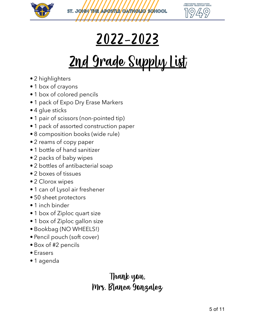



### 2022-2023

# 2nd Grade Supply List

- 2 highlighters
- 1 box of crayons
- 1 box of colored pencils
- 1 pack of Expo Dry Erase Markers
- 4 glue sticks
- 1 pair of scissors (non-pointed tip)
- 1 pack of assorted construction paper
- 8 composition books (wide rule)
- 2 reams of copy paper
- 1 bottle of hand sanitizer
- 2 packs of baby wipes
- 2 bottles of antibacterial soap
- 2 boxes of tissues
- 2 Clorox wipes
- 1 can of Lysol air freshener
- 50 sheet protectors
- 1 inch binder
- 1 box of Ziploc quart size
- 1 box of Ziploc gallon size
- Bookbag (NO WHEELS!)
- Pencil pouch (soft cover)
- Box of #2 pencils
- Erasers
- 1 agenda

#### Thank you, Mrs. Blanca Gonzalez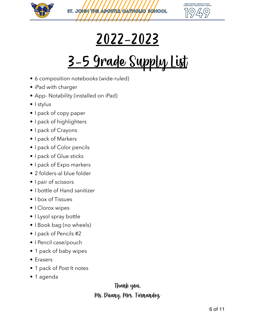



## 2022-2023

# 3-5 Grade Supply List

- 6 composition notebooks (wide-ruled)
- iPad with charger
- App- Notability (installed on iPad)
- I stylus
- I pack of copy paper
- I pack of highlighters
- I pack of Crayons
- I pack of Markers
- I pack of Color pencils
- I pack of Glue sticks
- I pack of Expo markers
- 2 folders-al blue folder
- I pair of scissors
- I bottle of Hand sanitizer
- I box of Tissues
- I Clorox wipes
- I Lysol spray bottle
- I Book bag (no wheels)
- I pack of Pencils #2
- I Pencil case/pouch
- 1 pack of baby wipes
- Erasers
- 1 pack of Post It notes
- 1 agenda

#### Thank you, Ms. Duany, Mrs. Fernandez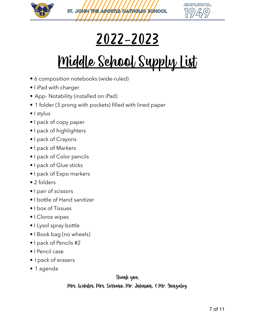



### 2022-2023

# Middle School Supply List

- 6 composition notebooks (wide-ruled)
- I iPad with charger
- App- Notability (installed on iPad)
- 1 folder (3 prong with pockets) filled with lined paper
- I stylus
- I pack of copy paper
- I pack of highlighters
- I pack of Crayons
- I pack of Markers
- I pack of Color pencils
- I pack of Glue sticks
- I pack of Expo markers
- 2 folders
- I pair of scissors
- I bottle of Hand sanitizer
- I box of Tissues
- I Clorox wipes
- I Lysol spray bottle
- I Book bag (no wheels)
- I pack of Pencils #2
- I Pencil case
- I pack of erasers
- 1 agenda

#### Thank you,

Mrs. Webster, Mrs. Serrano, Mr. Johnson, & Mr. Gonzalez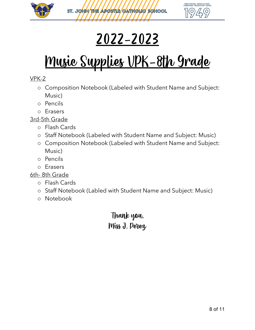



## 2022-2023

# Music Supplies VPK-8th Grade

#### VPK-2

- o Composition Notebook (Labeled with Student Name and Subject: Music)
- o Pencils
- o Erasers

3rd-5th Grade

- o Flash Cards
- o Staff Notebook (Labeled with Student Name and Subject: Music)
- o Composition Notebook (Labeled with Student Name and Subject: Music)
- o Pencils
- o Erasers

6th- 8th Grade

- o Flash Cards
- o Staff Notebook (Labled with Student Name and Subject: Music)
- o Notebook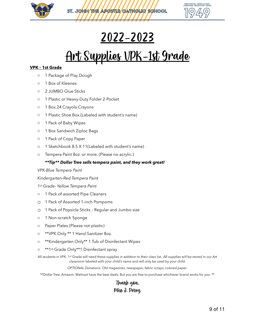



#### 2022-2023

### <u>Art Supplies VPK-1st Grade</u>

#### **VPK – 1st Grade**

- o 1 Package of Play Dough
- o 1 Box of Kleenex
- o 2 JUMBO Glue Sticks
- o 1 Plastic or Heavy-Duty Folder 2-Pocket
- o 1 Box 24 Crayola Crayons
- o 1 Plastic Shoe Box (Labeled with student's name)
- o 1 Pack of Baby Wipes
- o 1 Box Sandwich Ziploc Bags
- o 1 Pack of Copy Paper
- o 1 Sketchbook 8.5 X 11(Labeled with student's name)
- o Tempera Paint 8oz. or more. (Please no acrylic.)

#### *\*\*Tip\*\* Dollar Tree sells tempera paint, and they work great!*

#### *VPK-Blue Tempera Paint*

*Kindergarten-Red Tempera Paint*

*1st Grade- Yellow Tempera Paint*

- o 1 Pack of assorted Pipe Cleaners
- o 1 Pack of Assorted 1-inch Pompoms
- o 1 Pack of Popsicle Sticks Regular and Jumbo size
- o 1 Non-scratch Sponge
- o Paper Plates (Please not plastic)
- o \*\*VPK Only \*\* 1 Hand Sanitizer 8oz.
- o \*\*Kindergarten Only\*\* 1 Tub of Disinfectant Wipes
- o \*\*1st Grade Only\*\*1 Disinfectant spray

All students in VPK- 1st Grade will need these supplies in addition to their class list. All supplies will be stored in our Art classroom labeled with your child's name and will only be used by your child.

*OPTIONAL Donations: Old magazines, newspaper, fabric scraps, colored paper.*

\*\*Dollar Tree, Amazon, Walmart have the best deals. But you are free to purchase whichever brand works for you. \*\*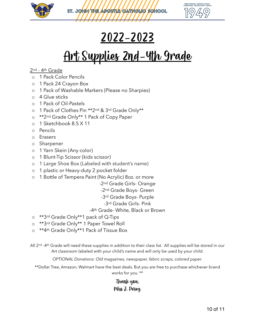



#### 2022-2023

### <u>Art Supplies 2nd-4th Grade</u>

#### 2nd - 4th Grade

- o 1 Pack Color Pencils
- o 1 Pack 24 Crayon Box
- o 1 Pack of Washable Markers (Please no Sharpies)
- o 4 Glue sticks
- o 1 Pack of Oil-Pastels
- o 1 Pack of Clothes Pin \*\*2nd & 3rd Grade Only\*\*
- o \*\*2<sup>nd</sup> Grade Only\*\* 1 Pack of Copy Paper
- o 1 Sketchbook 8.5 X 11
- o Pencils
- o Erasers
- o Sharpener
- o 1 Yarn Skein (Any color)
- o 1 Blunt-Tip Scissor (kids scissor)
- o 1 Large Shoe Box (Labeled with student's name)
- o 1 plastic or Heavy-duty 2 pocket folder
- o 1 Bottle of Tempera Paint (No Acrylic) 8oz. or more
	- -2nd Grade Girls- Orange
	- -2nd Grade Boys- Green
	- -3rd Grade Boys- Purple
		- -3rd Grade Girls- Pink

#### -4th Grade- White, Black or Brown

- o \*\*3rd Grade Only\*\*1 pack of Q-Tips
- o \*\*3rd Grade Only\*\* 1 Paper Towel Roll
- o \*\*4th Grade Only\*\*1 Pack of Tissue Box
- All 2<sup>nd</sup> -4th Grade will need these supplies in addition to their class list. All supplies will be stored in our Art classroom labeled with your child's name and will only be used by your child.

*OPTIONAL Donations: Old magazines, newspaper, fabric scraps, colored paper.* 

\*\*Dollar Tree, Amazon, Walmart have the best deals. But you are free to purchase whichever brand works for you. \*\*